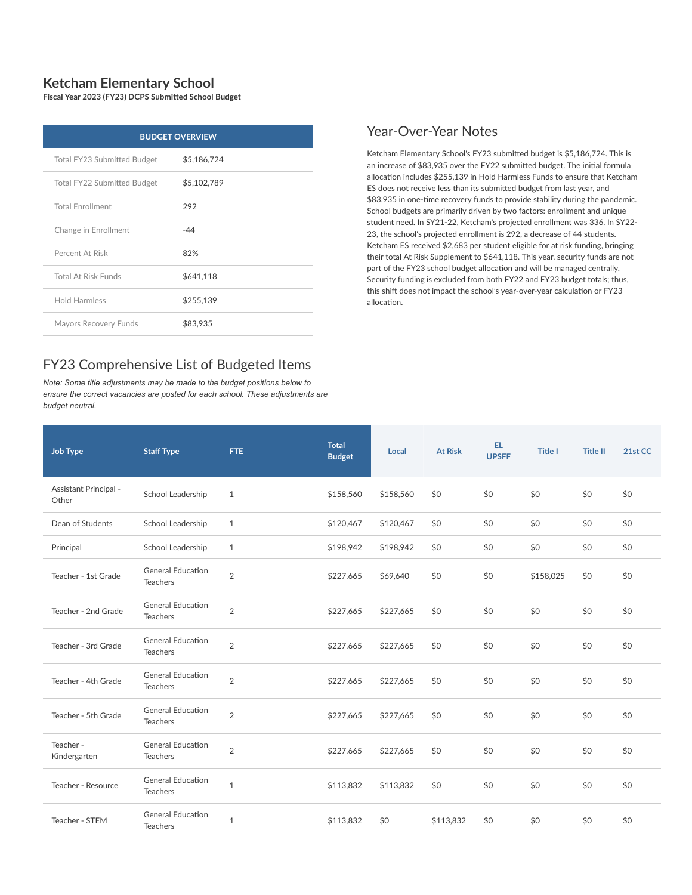## **Ketcham Elementary School**

**Fiscal Year 2023 (FY23) DCPS Submitted School Budget**

| <b>BUDGET OVERVIEW</b>      |             |  |  |  |  |  |
|-----------------------------|-------------|--|--|--|--|--|
| Total FY23 Submitted Budget | \$5,186,724 |  |  |  |  |  |
| Total FY22 Submitted Budget | \$5,102,789 |  |  |  |  |  |
| <b>Total Enrollment</b>     | 292         |  |  |  |  |  |
| Change in Enrollment        | $-44$       |  |  |  |  |  |
| Percent At Risk             | 82%         |  |  |  |  |  |
| <b>Total At Risk Funds</b>  | \$641.118   |  |  |  |  |  |
| <b>Hold Harmless</b>        | \$255,139   |  |  |  |  |  |
| Mayors Recovery Funds       | \$83,935    |  |  |  |  |  |

## FY23 Comprehensive List of Budgeted Items

*Note: Some title adjustments may be made to the budget positions below to ensure the correct vacancies are posted for each school. These adjustments are budget neutral.*

## Year-Over-Year Notes

Ketcham Elementary School's FY23 submitted budget is \$5,186,724. This is an increase of \$83,935 over the FY22 submitted budget. The initial formula allocation includes \$255,139 in Hold Harmless Funds to ensure that Ketcham ES does not receive less than its submitted budget from last year, and \$83,935 in one-time recovery funds to provide stability during the pandemic. School budgets are primarily driven by two factors: enrollment and unique student need. In SY21-22, Ketcham's projected enrollment was 336. In SY22- 23, the school's projected enrollment is 292, a decrease of 44 students. Ketcham ES received \$2,683 per student eligible for at risk funding, bringing their total At Risk Supplement to \$641,118. This year, security funds are not part of the FY23 school budget allocation and will be managed centrally. Security funding is excluded from both FY22 and FY23 budget totals; thus, this shift does not impact the school's year-over-year calculation or FY23 allocation.

| <b>Job Type</b>                | <b>Staff Type</b>                           | FTE.           | <b>Total</b><br><b>Budget</b> | Local     | <b>At Risk</b> | EL<br><b>UPSFF</b> | <b>Title I</b> | <b>Title II</b> | 21st CC |
|--------------------------------|---------------------------------------------|----------------|-------------------------------|-----------|----------------|--------------------|----------------|-----------------|---------|
| Assistant Principal -<br>Other | School Leadership                           | $\mathbf{1}$   | \$158,560                     | \$158,560 | \$0            | \$0                | \$0            | \$0             | \$0     |
| Dean of Students               | School Leadership                           | $\mathbf{1}$   | \$120,467                     | \$120,467 | \$0            | \$0                | \$0            | \$0             | \$0     |
| Principal                      | School Leadership                           | 1              | \$198,942                     | \$198,942 | \$0            | \$0                | \$0            | \$0             | \$0     |
| Teacher - 1st Grade            | <b>General Education</b><br><b>Teachers</b> | $\overline{2}$ | \$227,665                     | \$69,640  | \$0            | \$0                | \$158,025      | \$0             | \$0     |
| Teacher - 2nd Grade            | <b>General Education</b><br><b>Teachers</b> | $\overline{2}$ | \$227,665                     | \$227,665 | \$0            | \$0                | \$0            | \$0             | \$0     |
| Teacher - 3rd Grade            | <b>General Education</b><br><b>Teachers</b> | $\overline{2}$ | \$227,665                     | \$227,665 | \$0            | \$0                | \$0            | \$0             | \$0     |
| Teacher - 4th Grade            | <b>General Education</b><br><b>Teachers</b> | $\overline{2}$ | \$227,665                     | \$227,665 | \$0            | \$0                | \$0            | \$0             | \$0     |
| Teacher - 5th Grade            | <b>General Education</b><br><b>Teachers</b> | $\overline{2}$ | \$227,665                     | \$227,665 | \$0            | \$0                | \$0            | \$0             | \$0     |
| Teacher -<br>Kindergarten      | <b>General Education</b><br><b>Teachers</b> | $\overline{2}$ | \$227,665                     | \$227,665 | \$0            | \$0                | \$0            | \$0             | \$0     |
| Teacher - Resource             | <b>General Education</b><br><b>Teachers</b> | $\mathbf{1}$   | \$113,832                     | \$113,832 | \$0            | \$0                | \$0            | \$0             | \$0     |
| Teacher - STEM                 | <b>General Education</b><br><b>Teachers</b> | $\mathbf{1}$   | \$113,832                     | \$0       | \$113,832      | \$0                | \$0            | \$0             | \$0     |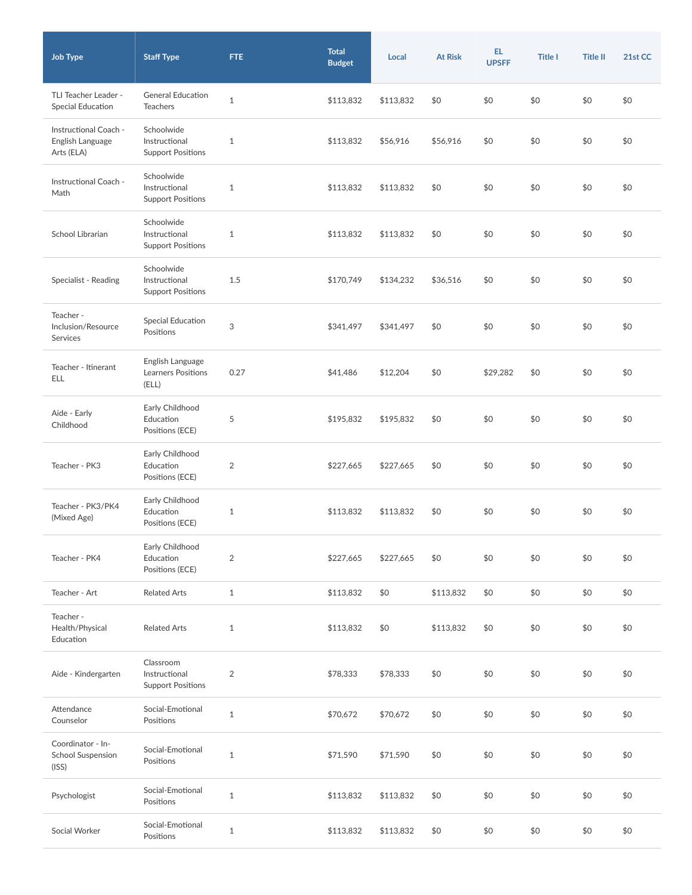| <b>Job Type</b>                                         | <b>Staff Type</b>                                       | <b>FTE</b>     | <b>Total</b><br><b>Budget</b> | Local     | <b>At Risk</b> | EL.<br><b>UPSFF</b> | <b>Title I</b> | <b>Title II</b> | 21st CC |
|---------------------------------------------------------|---------------------------------------------------------|----------------|-------------------------------|-----------|----------------|---------------------|----------------|-----------------|---------|
| TLI Teacher Leader -<br>Special Education               | <b>General Education</b><br><b>Teachers</b>             | $1\,$          | \$113,832                     | \$113,832 | \$0            | \$0                 | \$0            | \$0             | \$0     |
| Instructional Coach -<br>English Language<br>Arts (ELA) | Schoolwide<br>Instructional<br><b>Support Positions</b> | $\mathbf{1}$   | \$113,832                     | \$56,916  | \$56,916       | \$0                 | \$0            | \$0             | \$0     |
| Instructional Coach -<br>Math                           | Schoolwide<br>Instructional<br><b>Support Positions</b> | $\mathbf{1}$   | \$113,832                     | \$113,832 | \$0            | \$0                 | \$0            | \$0             | \$0     |
| School Librarian                                        | Schoolwide<br>Instructional<br><b>Support Positions</b> | $\mathbf{1}$   | \$113,832                     | \$113,832 | \$0            | \$0                 | \$0            | \$0             | \$0     |
| Specialist - Reading                                    | Schoolwide<br>Instructional<br><b>Support Positions</b> | 1.5            | \$170,749                     | \$134,232 | \$36,516       | \$0                 | \$0            | \$0             | \$0     |
| Teacher -<br>Inclusion/Resource<br>Services             | Special Education<br>Positions                          | 3              | \$341,497                     | \$341,497 | \$0            | \$0                 | \$0            | \$0             | \$0     |
| Teacher - Itinerant<br>ELL                              | English Language<br>Learners Positions<br>(ELL)         | 0.27           | \$41,486                      | \$12,204  | \$0            | \$29,282            | \$0            | \$0             | \$0     |
| Aide - Early<br>Childhood                               | Early Childhood<br>Education<br>Positions (ECE)         | 5              | \$195,832                     | \$195,832 | \$0            | \$0                 | \$0            | \$0             | \$0     |
| Teacher - PK3                                           | Early Childhood<br>Education<br>Positions (ECE)         | $\overline{2}$ | \$227,665                     | \$227,665 | \$0            | \$0                 | \$0            | \$0             | \$0     |
| Teacher - PK3/PK4<br>(Mixed Age)                        | Early Childhood<br>Education<br>Positions (ECE)         | $\mathbf{1}$   | \$113,832                     | \$113,832 | \$0            | \$0                 | \$0            | \$0             | \$0     |
| Teacher - PK4                                           | Early Childhood<br>Education<br>Positions (ECE)         | $\overline{2}$ | \$227,665                     | \$227,665 | \$0            | \$0                 | \$0            | \$0             | \$0     |
| Teacher - Art                                           | <b>Related Arts</b>                                     | $\mathbf{1}$   | \$113,832                     | \$0       | \$113,832      | \$0                 | \$0            | \$0             | \$0     |
| Teacher -<br>Health/Physical<br>Education               | <b>Related Arts</b>                                     | $\mathbf{1}$   | \$113,832                     | \$0       | \$113,832      | \$0                 | \$0            | \$0             | \$0     |
| Aide - Kindergarten                                     | Classroom<br>Instructional<br><b>Support Positions</b>  | $\overline{2}$ | \$78,333                      | \$78,333  | \$0            | \$0                 | \$0            | \$0             | \$0     |
| Attendance<br>Counselor                                 | Social-Emotional<br>Positions                           | $\mathbf{1}$   | \$70,672                      | \$70,672  | \$0            | \$0                 | \$0            | \$0             | \$0     |
| Coordinator - In-<br><b>School Suspension</b><br>(ISS)  | Social-Emotional<br>Positions                           | $\mathbf{1}$   | \$71,590                      | \$71,590  | \$0            | \$0                 | \$0            | \$0             | \$0     |
| Psychologist                                            | Social-Emotional<br>Positions                           | $\mathbf{1}$   | \$113,832                     | \$113,832 | \$0            | \$0                 | \$0            | \$0             | \$0     |
| Social Worker                                           | Social-Emotional<br>Positions                           | $\mathbf{1}$   | \$113,832                     | \$113,832 | \$0            | \$0                 | \$0            | \$0             | \$0     |